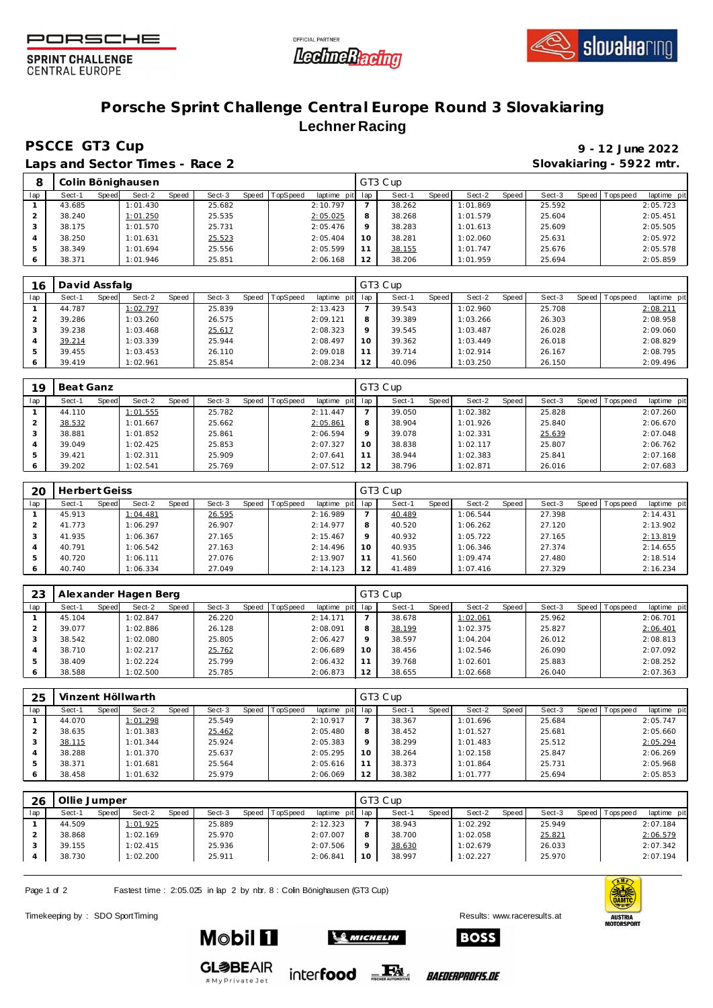





**SPRINT CHALLENGE CENTRAL EUROPE** 

## **Porsche Sprint Challenge Central Europe Round 3 Slovakiaring Lechner Racing**

## **PSCCE GT3 Cup**

Laps and Sector Times - Race 2 **Sloves** 5922 mtr.

| 9 - 12 June 2022        |  |
|-------------------------|--|
| ilovakiaring - 5922 mtr |  |

|     |        | Colin Bönighausen               |                 |                                    |    | GT3 Cup         |          |       |        |         |             |             |
|-----|--------|---------------------------------|-----------------|------------------------------------|----|-----------------|----------|-------|--------|---------|-------------|-------------|
| lap | Sect-1 | Sect-2<br><b>Speed</b><br>Speed | Sect-3<br>Speed | <b>TopSpeed</b><br>laptime pit lap |    | Sect-1<br>Speed | Sect-2   | Speed | Sect-3 | Speed I | T ops pee d | laptime pit |
|     | 43.685 | 1:01.430                        | 25.682          | 2:10.797                           |    | 38.262          | 1:01.869 |       | 25.592 |         |             | 2:05.723    |
|     | 38.240 | 1:01.250                        | 25.535          | 2:05.025                           |    | 38.268          | 1:01.579 |       | 25.604 |         |             | 2:05.451    |
|     | 38.175 | 1:01.570                        | 25.731          | 2:05.476                           |    | 38.283          | 1:01.613 |       | 25.609 |         |             | 2:05.505    |
|     | 38.250 | 1:01.631                        | 25.523          | 2:05.404                           | 10 | 38.281          | 1:02.060 |       | 25.631 |         |             | 2:05.972    |
|     | 38.349 | 1:01.694                        | 25.556          | 2:05.599                           |    | 38.155          | 1:01.747 |       | 25.676 |         |             | 2:05.578    |
|     | 38.371 | 1:01.946                        | 25.851          | 2:06.168                           | 12 | 38.206          | 1:01.959 |       | 25.694 |         |             | 2:05.859    |

| 16  | David Assfalg   |                 |        |                                 |         | GT3 Cup                |                 |                   |                            |
|-----|-----------------|-----------------|--------|---------------------------------|---------|------------------------|-----------------|-------------------|----------------------------|
| lap | Speed<br>Sect-1 | Sect-2<br>Speed | Sect-3 | Speed   TopSpeed<br>laptime pit | lap     | Sect-1<br><b>Speed</b> | Speed<br>Sect-2 | Sect-3<br>Speed I | T ops pee d<br>laptime pit |
|     | 44.787          | 1:02.797        | 25.839 | 2:13.423                        |         | 39.543                 | 1:02.960        | 25.708            | 2:08.211                   |
|     | 39.286          | 1:03.260        | 26.575 | 2:09.121                        | 8       | 39.389                 | 1:03.266        | 26.303            | 2:08.958                   |
|     | 39.238          | 1:03.468        | 25.617 | 2:08.323                        | $\circ$ | 39.545                 | 1:03.487        | 26.028            | 2:09.060                   |
|     | 39.214          | 1:03.339        | 25.944 | 2:08.497                        | 10      | 39.362                 | 1:03.449        | 26.018            | 2:08.829                   |
| 5   | 39.455          | 1:03.453        | 26.110 | 2:09.018                        |         | 39.714                 | 1:02.914        | 26.167            | 2:08.795                   |
| 6   | 39.419          | 1:02.961        | 25.854 | 2:08.234                        | 12      | 40.096                 | 1:03.250        | 26.150            | 2:09.496                   |

| 19  | Beat Ganz       |                 |                 |                         |     | GT3 Cup         |                 |                 |                           |
|-----|-----------------|-----------------|-----------------|-------------------------|-----|-----------------|-----------------|-----------------|---------------------------|
| lap | Speed<br>Sect-1 | Sect-2<br>Speed | Sect-3<br>Speed | TopSpeed<br>laptime pit | lap | Sect-1<br>Speed | Sect-2<br>Speed | Sect-3<br>Speed | laptime pit<br>Tops pee d |
|     | 44.110          | 1:01.555        | 25.782          | 2:11.447                |     | 39.050          | 1:02.382        | 25.828          | 2:07.260                  |
|     | 38.532          | 1:01.667        | 25.662          | 2:05.861                | 8   | 38.904          | 1:01.926        | 25.840          | 2:06.670                  |
|     | 38.881          | 1:01.852        | 25.861          | 2:06.594                | Q   | 39.078          | 1:02.331        | 25.639          | 2:07.048                  |
| 4   | 39.049          | 1:02.425        | 25.853          | 2:07.327                | 10  | 38.838          | 1:02.117        | 25.807          | 2:06.762                  |
|     | 39.421          | 1:02.311        | 25.909          | 2:07.641                | 11  | 38.944          | 1:02.383        | 25.841          | 2:07.168                  |
| 6   | 39.202          | 1:02.541        | 25.769          | 2:07.512                | 12  | 38.796          | 1:02.871        | 26.016          | 2:07.683                  |

| 20  | Herbert Geiss |       |          |       |        |                |             |     | GT3 Cup |       |          |       |        |       |            |             |
|-----|---------------|-------|----------|-------|--------|----------------|-------------|-----|---------|-------|----------|-------|--------|-------|------------|-------------|
| lap | Sect-1        | Speed | Sect-2   | Speed | Sect-3 | Speed TopSpeed | laptime pit | lap | Sect-1  | Speed | Sect-2   | Speed | Sect-3 | Speed | T ops peed | laptime pit |
|     | 45.913        |       | 1:04.481 |       | 26.595 |                | 2:16.989    |     | 40.489  |       | 1:06.544 |       | 27.398 |       |            | 2:14.431    |
|     | 41.773        |       | 1:06.297 |       | 26.907 |                | 2:14.977    | 8   | 40.520  |       | 1:06.262 |       | 27.120 |       |            | 2:13.902    |
|     | 41.935        |       | 1:06.367 |       | 27.165 |                | 2:15.467    | Q   | 40.932  |       | 1:05.722 |       | 27.165 |       |            | 2:13.819    |
| 4   | 40.791        |       | 1:06.542 |       | 27.163 |                | 2:14.496    | 10  | 40.935  |       | 1:06.346 |       | 27.374 |       |            | 2:14.655    |
|     | 40.720        |       | 1:06.111 |       | 27.076 |                | 2:13.907    | 11  | 41.560  |       | 1:09.474 |       | 27.480 |       |            | 2:18.514    |
|     | 40.740        |       | 1:06.334 |       | 27.049 |                | 2:14.123    | 12  | 41.489  |       | 1:07.416 |       | 27.329 |       |            | 2:16.234    |

| 23  |        |       | Alexander Hagen Berg |       |        |       |          |             |         | GT3 Cup |       |          |       |        |                 |             |
|-----|--------|-------|----------------------|-------|--------|-------|----------|-------------|---------|---------|-------|----------|-------|--------|-----------------|-------------|
| lap | Sect-1 | Speed | Sect-2               | Speed | Sect-3 | Speed | TopSpeed | laptime pit | lap     | Sect-1  | Speed | Sect-2   | Speed | Sect-3 | Speed Tops peed | laptime pit |
|     | 45.104 |       | 1:02.847             |       | 26.220 |       |          | 2:14.171    |         | 38.678  |       | 1:02.061 |       | 25.962 |                 | 2:06.701    |
|     | 39.077 |       | 1:02.886             |       | 26.128 |       |          | 2:08.091    | 8       | 38.199  |       | 1:02.375 |       | 25.827 |                 | 2:06.401    |
|     | 38.542 |       | 1:02.080             |       | 25.805 |       |          | 2:06.427    | $\circ$ | 38.597  |       | 1:04.204 |       | 26.012 |                 | 2:08.813    |
|     | 38.710 |       | 1:02.217             |       | 25.762 |       |          | 2:06.689    | 10      | 38.456  |       | 1:02.546 |       | 26.090 |                 | 2:07.092    |
|     | 38.409 |       | 1:02.224             |       | 25.799 |       |          | 2:06.432    | 11      | 39.768  |       | 1:02.601 |       | 25.883 |                 | 2:08.252    |
|     | 38.588 |       | 1:02.500             |       | 25.785 |       |          | 2:06.873    | 12      | 38.655  |       | 1:02.668 |       | 26.040 |                 | 2:07.363    |

| 25  |        |       | Vinzent Höllwarth |       |        |                |             |         | GT3 Cup |              |          |       |        |                   |             |
|-----|--------|-------|-------------------|-------|--------|----------------|-------------|---------|---------|--------------|----------|-------|--------|-------------------|-------------|
| lap | Sect-1 | Speed | Sect-2            | Speed | Sect-3 | Speed TopSpeed | laptime pit | lap     | Sect-1  | <b>Speed</b> | Sect-2   | Speed | Sect-3 | Speed   Tops peed | laptime pit |
|     | 44.070 |       | 1:01.298          |       | 25.549 |                | 2:10.917    |         | 38.367  |              | 1:01.696 |       | 25.684 |                   | 2:05.747    |
|     | 38.635 |       | 1:01.383          |       | 25.462 |                | 2:05.480    | 8       | 38.452  |              | 1:01.527 |       | 25.681 |                   | 2:05.660    |
|     | 38.115 |       | 1:01.344          |       | 25.924 |                | 2:05.383    | $\circ$ | 38.299  |              | 1:01.483 |       | 25.512 |                   | 2:05.294    |
|     | 38.288 |       | 1:01.370          |       | 25.637 |                | 2:05.295    | 10      | 38.264  |              | 1:02.158 |       | 25.847 |                   | 2:06.269    |
| 5   | 38.371 |       | 1:01.681          |       | 25.564 |                | 2:05.616    |         | 38.373  |              | 1:01.864 |       | 25.731 |                   | 2:05.968    |
|     | 38.458 |       | 1:01.632          |       | 25.979 |                | 2:06.069    | 12      | 38.382  |              | 1:01.777 |       | 25.694 |                   | 2:05.853    |

| 26  | Ollie Jumper |       |          |       |        |                |             |         | GT3 Cup |       |          |       |        |         |             |             |
|-----|--------------|-------|----------|-------|--------|----------------|-------------|---------|---------|-------|----------|-------|--------|---------|-------------|-------------|
| lap | Sect-1       | Speed | Sect-2   | Speed | Sect-3 | Speed TopSpeed | laptime pit | lap     | Sect-   | Speed | Sect-2   | Speed | Sect-3 | Speed I | T ops pee d | laptime pit |
|     | 44.509       |       | 1:01.925 |       | 25.889 |                | 2:12.323    |         | 38.943  |       | 1:02.292 |       | 25.949 |         |             | 2:07.184    |
|     | 38.868       |       | 1:02.169 |       | 25.970 |                | 2:07.007    | 8       | 38.700  |       | 1:02.058 |       | 25.821 |         |             | 2:06.579    |
|     | 39.155       |       | 1:02.415 |       | 25.936 |                | 2:07.506    | $\circ$ | 38.630  |       | 1:02.679 |       | 26.033 |         |             | 2:07.342    |
|     | 38.730       |       | 1:02.200 |       | 25.911 |                | 2:06.841    | 10      | 38.997  |       | 1:02.227 |       | 25.970 |         |             | 2:07.194    |

Page 1 of 2 Fastest time : 2:05.025 in lap 2 by nbr. 8 : Colin Bönighausen (GT3 Cup)

Timekeeping by : SDO SportTiming Results: [www.raceresults.a](www.raceresults.at)t



**Mobil 11** 



*BAEDERPROFIS.DE* 

**GL参BEAIR** #MyPrivateJet